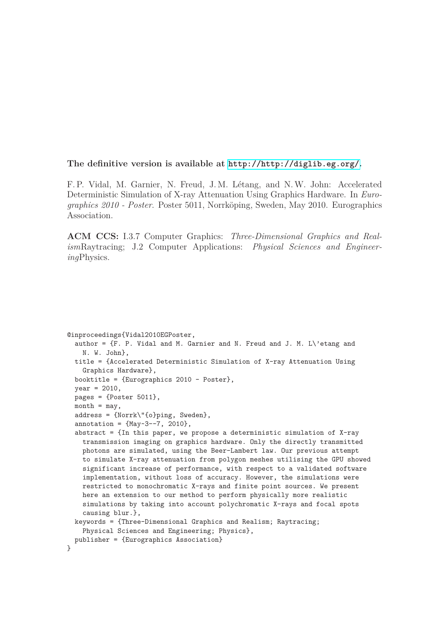#### **The definitive version is available at <http://http://diglib.eg.org/>.**

F. P. Vidal, M. Garnier, N. Freud, J. M. Létang, and N. W. John: Accelerated Deterministic Simulation of X-ray Attenuation Using Graphics Hardware. In *Eurographics 2010 - Poster*. Poster 5011, Norrköping, Sweden, May 2010. Eurographics Association.

**ACM CCS:** I.3.7 Computer Graphics: *Three-Dimensional Graphics and Realism*Raytracing; J.2 Computer Applications: *Physical Sciences and Engineering*Physics.

```
@inproceedings{Vidal2010EGPoster,
  author = {F. P. Vidal} and M. Garnier and N. Freud and J. M. L\text{etang} and
   N. W. John},
 title = {Accelerated Deterministic Simulation of X-ray Attenuation Using
    Graphics Hardware},
  booktitle = {Eurographics 2010 - Poster},
  year = 2010,pages = {Poster 5011},
 month = max.
  address = {Norrk\"{o}ping, Sweden},
 annotation = {May-3--7, 2010},abstract = \{In this paper, we propose a deterministic simulation of X-raytransmission imaging on graphics hardware. Only the directly transmitted
   photons are simulated, using the Beer-Lambert law. Our previous attempt
    to simulate X-ray attenuation from polygon meshes utilising the GPU showed
    significant increase of performance, with respect to a validated software
    implementation, without loss of accuracy. However, the simulations were
    restricted to monochromatic X-rays and finite point sources. We present
   here an extension to our method to perform physically more realistic
    simulations by taking into account polychromatic X-rays and focal spots
    causing blur.},
  keywords = {Three-Dimensional Graphics and Realism; Raytracing;
    Physical Sciences and Engineering; Physics},
 publisher = {Eurographics Association}
}
```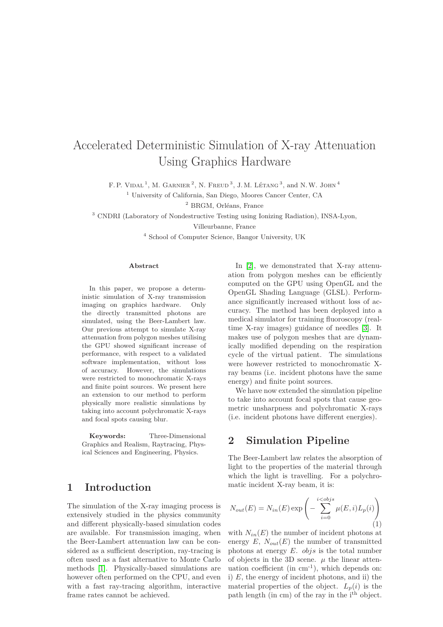# Accelerated Deterministic Simulation of X-ray Attenuation Using Graphics Hardware

F. P. VIDAL<sup>1</sup>, M. GARNIER<sup>2</sup>, N. FREUD<sup>3</sup>, J. M. LÉTANG<sup>3</sup>, and N.W. JOHN<sup>4</sup>

<sup>1</sup> University of California, San Diego, Moores Cancer Center, CA

<sup>2</sup> BRGM, Orléans, France

<sup>3</sup> CNDRI (Laboratory of Nondestructive Testing using Ionizing Radiation), INSA-Lyon,

Villeurbanne, France

<sup>4</sup> School of Computer Science, Bangor University, UK

#### **Abstract**

In this paper, we propose a deterministic simulation of X-ray transmission imaging on graphics hardware. Only the directly transmitted photons are simulated, using the Beer-Lambert law. Our previous attempt to simulate X-ray attenuation from polygon meshes utilising the GPU showed significant increase of performance, with respect to a validated software implementation, without loss of accuracy. However, the simulations were restricted to monochromatic X-rays and finite point sources. We present here an extension to our method to perform physically more realistic simulations by taking into account polychromatic X-rays and focal spots causing blur.

**Keywords:** Three-Dimensional Graphics and Realism, Raytracing, Physical Sciences and Engineering, Physics.

### **1 Introduction**

The simulation of the X-ray imaging process is extensively studied in the physics community and different physically-based simulation codes are available. For transmission imaging, when the Beer-Lambert attenuation law can be considered as a sufficient description, ray-tracing is often used as a fast alternative to Monte Carlo methods [\[1\]](#page-3-0). Physically-based simulations are however often performed on the CPU, and even with a fast ray-tracing algorithm, interactive frame rates cannot be achieved.

In [\[2\]](#page-3-1), we demonstrated that X-ray attenuation from polygon meshes can be efficiently computed on the GPU using OpenGL and the OpenGL Shading Language (GLSL). Performance significantly increased without loss of accuracy. The method has been deployed into a medical simulator for training fluoroscopy (realtime X-ray images) guidance of needles [\[3\]](#page-3-2). It makes use of polygon meshes that are dynamically modified depending on the respiration cycle of the virtual patient. The simulations were however restricted to monochromatic Xray beams (i.e. incident photons have the same energy) and finite point sources.

We have now extended the simulation pipeline to take into account focal spots that cause geometric unsharpness and polychromatic X-rays (i.e. incident photons have different energies).

# **2 Simulation Pipeline**

The Beer-Lambert law relates the absorption of light to the properties of the material through which the light is travelling. For a polychromatic incident X-ray beam, it is:

<span id="page-1-0"></span>
$$
N_{out}(E) = N_{in}(E) \exp\left(-\sum_{i=0}^{i < obj s} \mu(E, i)L_p(i)\right)
$$
\n(1)

with  $N_{in}(E)$  the number of incident photons at energy  $E$ ,  $N_{out}(E)$  the number of transmitted photons at energy *E*. *objs* is the total number of objects in the 3D scene.  $\mu$  the linear attenuation coefficient (in  $cm^{-1}$ ), which depends on: i) *E*, the energy of incident photons, and ii) the material properties of the object.  $L_p(i)$  is the path length (in cm) of the ray in the  $i<sup>th</sup>$  object.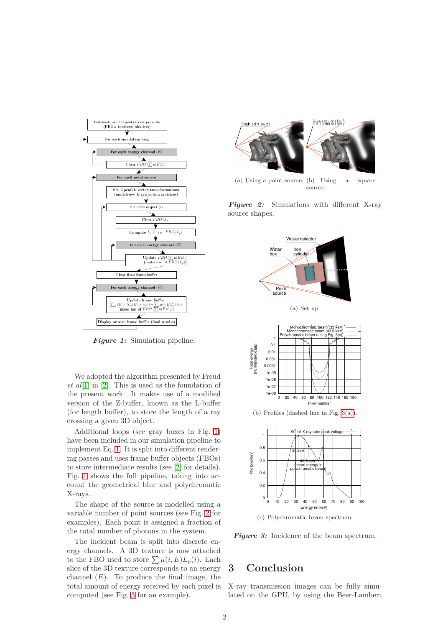<span id="page-2-0"></span>

*Figure 1:* Simulation pipeline.

We adopted the algorithm presented by Freud *et al*[\[1\]](#page-3-0) in [\[2\]](#page-3-1). This is used as the foundation of the present work. It makes use of a modified version of the Z-buffer, known as the L-buffer (for length buffer), to store the length of a ray crossing a given 3D object.

Additional loops (see gray boxes in Fig. [1\)](#page-2-0) have been included in our simulation pipeline to implement Eq. [1.](#page-1-0) It is split into different rendering passes and uses frame buffer objects (FBOs) to store intermediate results (see [\[2\]](#page-3-1) for details). Fig. [1](#page-2-0) shows the full pipeline, taking into account the geometrical blur and polychromatic X-rays.

The shape of the source is modelled using a variable number of point sources (see Fig. [2](#page-2-1) for examples). Each point is assigned a fraction of the total number of photons in the system.

The incident beam is split into discrete energy channels. A 3D texture is now attached to the FBO used to store  $\sum \mu(i, E)L_p(i)$ . Each slice of the 3D texture corresponds to an energy channel  $(E)$ . To produce the final image, the total amount of energy received by each pixel is computed (see Fig. [3](#page-2-2) for an example).

<span id="page-2-1"></span>

(a) Using a point source. Using a square source.

<span id="page-2-3"></span><span id="page-2-2"></span>*Figure 2:* Simulations with different X-ray source shapes.



(a) Set up.



(b) Profiles (dashed line in Fig. [3\(a\)\)](#page-2-3).



(c) Polychromatic beam spectrum.

*Figure 3:* Incidence of the beam spectrum.

# **3 Conclusion**

X-ray transmission images can be fully simulated on the GPU, by using the Beer-Lambert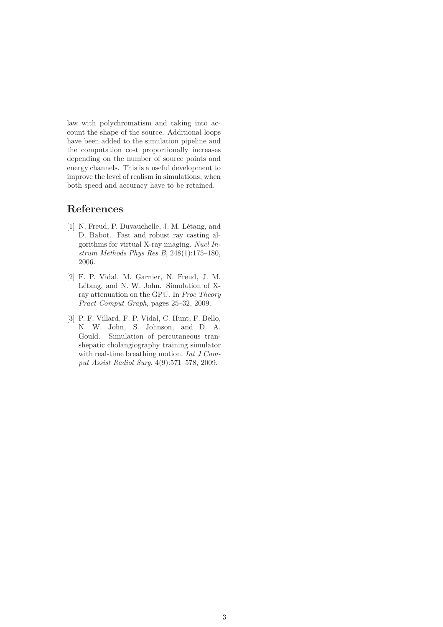law with polychromatism and taking into account the shape of the source. Additional loops have been added to the simulation pipeline and the computation cost proportionally increases depending on the number of source points and energy channels. This is a useful development to improve the level of realism in simulations, when both speed and accuracy have to be retained.

# <span id="page-3-0"></span>**References**

- [1] N. Freud, P. Duvauchelle, J. M. Létang, and D. Babot. Fast and robust ray casting algorithms for virtual X-ray imaging. *Nucl Instrum Methods Phys Res B*, 248(1):175–180, 2006.
- <span id="page-3-1"></span>[2] F. P. Vidal, M. Garnier, N. Freud, J. M. Létang, and N. W. John. Simulation of Xray attenuation on the GPU. In *Proc Theory Pract Comput Graph*, pages 25–32, 2009.
- <span id="page-3-2"></span>[3] P. F. Villard, F. P. Vidal, C. Hunt, F. Bello, N. W. John, S. Johnson, and D. A. Gould. Simulation of percutaneous transhepatic cholangiography training simulator with real-time breathing motion. *Int J Comput Assist Radiol Surg*, 4(9):571–578, 2009.